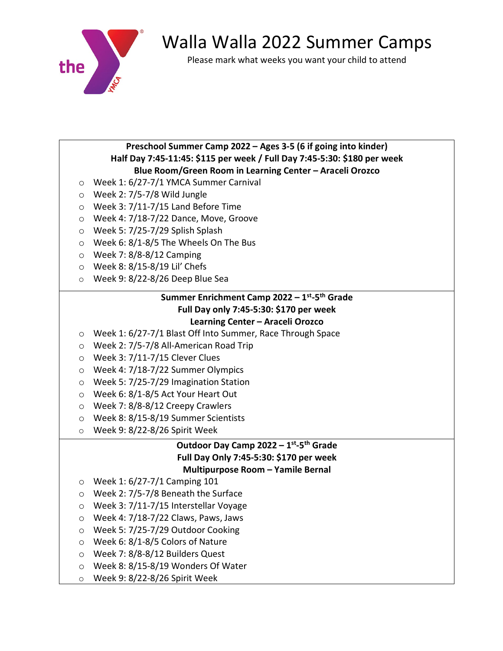

# Walla Walla 2022 Summer Camps

Please mark what weeks you want your child to attend

# **Preschool Summer Camp 2022 – Ages 3-5 (6 if going into kinder) Half Day 7:45-11:45: \$115 per week / Full Day 7:45-5:30: \$180 per week Blue Room/Green Room in Learning Center – Araceli Orozco**

- o Week 1: 6/27-7/1 YMCA Summer Carnival
- o Week 2: 7/5-7/8 Wild Jungle
- $\circ$  Week 3: 7/11-7/15 Land Before Time
- o Week 4: 7/18-7/22 Dance, Move, Groove
- o Week 5: 7/25-7/29 Splish Splash
- $\circ$  Week 6: 8/1-8/5 The Wheels On The Bus
- o Week 7: 8/8-8/12 Camping
- o Week 8: 8/15-8/19 Lil' Chefs
- o Week 9: 8/22-8/26 Deep Blue Sea

# **Summer Enrichment Camp 2022 – 1st-5th Grade Full Day only 7:45-5:30: \$170 per week Learning Center – Araceli Orozco**

- o Week 1: 6/27-7/1 Blast Off Into Summer, Race Through Space
- o Week 2: 7/5-7/8 All-American Road Trip
- o Week 3: 7/11-7/15 Clever Clues
- o Week 4: 7/18-7/22 Summer Olympics
- o Week 5: 7/25-7/29 Imagination Station
- o Week 6: 8/1-8/5 Act Your Heart Out
- o Week 7: 8/8-8/12 Creepy Crawlers
- o Week 8: 8/15-8/19 Summer Scientists
- o Week 9: 8/22-8/26 Spirit Week

# **Outdoor Day Camp 2022 – 1st-5th Grade Full Day Only 7:45-5:30: \$170 per week Multipurpose Room – Yamile Bernal**

- o Week 1: 6/27-7/1 Camping 101
- o Week 2: 7/5-7/8 Beneath the Surface
- o Week 3: 7/11-7/15 Interstellar Voyage
- o Week 4: 7/18-7/22 Claws, Paws, Jaws
- o Week 5: 7/25-7/29 Outdoor Cooking
- o Week 6: 8/1-8/5 Colors of Nature
- o Week 7: 8/8-8/12 Builders Quest
- o Week 8: 8/15-8/19 Wonders Of Water
- o Week 9: 8/22-8/26 Spirit Week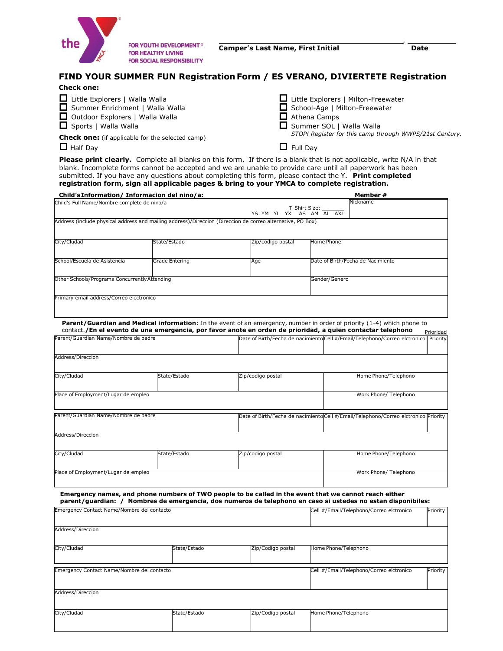

,

## **FIND YOUR SUMMER FUN Registration Form / ES VERANO, DIVIERTETE Registration**

## **Check one:**

| Little Explorers   Walla Walla                          | □ Little Explorers   Milton-Freewater                   |
|---------------------------------------------------------|---------------------------------------------------------|
| Summer Enrichment   Walla Walla                         | School-Age   Milton-Freewater                           |
| Outdoor Explorers   Walla Walla                         | $\Box$ Athena Camps                                     |
| Sports   Walla Walla                                    | Summer SOL   Walla Walla                                |
| <b>Check one:</b> (if applicable for the selected camp) | STOP! Register for this camp through WWPS/21st Century. |
| $\Box$ Half Day                                         | $\Box$ Full Day                                         |

**Please print clearly.** Complete all blanks on this form. If there is a blank that is not applicable, write N/A in that blank. Incomplete forms cannot be accepted and we are unable to provide care until all paperwork has been submitted. If you have any questions about completing this form, please contact the Y. **Print completed registration form, sign all applicable pages & bring to your YMCA to complete registration.**

| Child's Information/ Informacion del nino/a:                                                               |                           |                                                                                                        |               | Member#                                                                                                                                                                                                                                |           |  |
|------------------------------------------------------------------------------------------------------------|---------------------------|--------------------------------------------------------------------------------------------------------|---------------|----------------------------------------------------------------------------------------------------------------------------------------------------------------------------------------------------------------------------------------|-----------|--|
| Child's Full Name/Nombre complete de nino/a                                                                |                           |                                                                                                        | Nickname      |                                                                                                                                                                                                                                        |           |  |
|                                                                                                            | YS YM YL YXL AS AM AL AXL | T-Shirt Size:                                                                                          |               |                                                                                                                                                                                                                                        |           |  |
| Address (include physical address and mailing address)/Direccion (Direccion de correo alternative, PO Box) |                           |                                                                                                        |               |                                                                                                                                                                                                                                        |           |  |
|                                                                                                            |                           |                                                                                                        |               |                                                                                                                                                                                                                                        |           |  |
|                                                                                                            |                           |                                                                                                        |               |                                                                                                                                                                                                                                        |           |  |
| City/Cludad                                                                                                | State/Estado              | Zip/codigo postal                                                                                      | Home Phone    |                                                                                                                                                                                                                                        |           |  |
|                                                                                                            |                           |                                                                                                        |               |                                                                                                                                                                                                                                        |           |  |
| School/Escuela de Asistencia                                                                               | Grade Entering            | Age                                                                                                    |               | Date of Birth/Fecha de Nacimiento                                                                                                                                                                                                      |           |  |
|                                                                                                            |                           |                                                                                                        |               |                                                                                                                                                                                                                                        |           |  |
|                                                                                                            |                           |                                                                                                        |               |                                                                                                                                                                                                                                        |           |  |
| Other Schools/Programs Concurrently Attending                                                              |                           |                                                                                                        | Gender/Genero |                                                                                                                                                                                                                                        |           |  |
|                                                                                                            |                           |                                                                                                        |               |                                                                                                                                                                                                                                        |           |  |
| Primary email address/Correo electronico                                                                   |                           |                                                                                                        |               |                                                                                                                                                                                                                                        |           |  |
|                                                                                                            |                           |                                                                                                        |               |                                                                                                                                                                                                                                        |           |  |
|                                                                                                            |                           |                                                                                                        |               |                                                                                                                                                                                                                                        |           |  |
|                                                                                                            |                           |                                                                                                        |               |                                                                                                                                                                                                                                        |           |  |
|                                                                                                            |                           |                                                                                                        |               | Parent/Guardian and Medical information: In the event of an emergency, number in order of priority (1-4) which phone to<br>contact./En el evento de una emergencia, por favor anote en orden de prioridad, a quien contactar telephono |           |  |
| Parent/Guardian Name/Nombre de padre                                                                       |                           |                                                                                                        |               | Date of Birth/Fecha de nacimiento Cell #/Email/Telephono/Correo elctronico Priority                                                                                                                                                    | Prioridad |  |
|                                                                                                            |                           |                                                                                                        |               |                                                                                                                                                                                                                                        |           |  |
|                                                                                                            |                           |                                                                                                        |               |                                                                                                                                                                                                                                        |           |  |
| Address/Direccion                                                                                          |                           |                                                                                                        |               |                                                                                                                                                                                                                                        |           |  |
|                                                                                                            |                           |                                                                                                        |               |                                                                                                                                                                                                                                        |           |  |
| City/Cludad                                                                                                | State/Estado              | Zip/codigo postal                                                                                      |               | Home Phone/Telephono                                                                                                                                                                                                                   |           |  |
|                                                                                                            |                           |                                                                                                        |               |                                                                                                                                                                                                                                        |           |  |
|                                                                                                            |                           |                                                                                                        |               |                                                                                                                                                                                                                                        |           |  |
| Place of Employment/Lugar de empleo                                                                        |                           |                                                                                                        |               | Work Phone/ Telephono                                                                                                                                                                                                                  |           |  |
|                                                                                                            |                           |                                                                                                        |               |                                                                                                                                                                                                                                        |           |  |
| Parent/Guardian Name/Nombre de padre                                                                       |                           |                                                                                                        |               | Date of Birth/Fecha de nacimiento Cell #/Email/Telephono/Correo elctronico Priority                                                                                                                                                    |           |  |
|                                                                                                            |                           |                                                                                                        |               |                                                                                                                                                                                                                                        |           |  |
|                                                                                                            |                           |                                                                                                        |               |                                                                                                                                                                                                                                        |           |  |
| Address/Direccion                                                                                          |                           |                                                                                                        |               |                                                                                                                                                                                                                                        |           |  |
|                                                                                                            |                           |                                                                                                        |               |                                                                                                                                                                                                                                        |           |  |
| City/Cludad                                                                                                | State/Estado              | Zip/codigo postal                                                                                      |               | Home Phone/Telephono                                                                                                                                                                                                                   |           |  |
|                                                                                                            |                           |                                                                                                        |               |                                                                                                                                                                                                                                        |           |  |
|                                                                                                            |                           |                                                                                                        |               |                                                                                                                                                                                                                                        |           |  |
| Place of Employment/Lugar de empleo                                                                        |                           |                                                                                                        |               | Work Phone/ Telephono                                                                                                                                                                                                                  |           |  |
|                                                                                                            |                           |                                                                                                        |               |                                                                                                                                                                                                                                        |           |  |
|                                                                                                            |                           | Emergency names, and phone numbers of TWO people to be called in the event that we cannot reach either |               |                                                                                                                                                                                                                                        |           |  |
|                                                                                                            |                           |                                                                                                        |               | parent/quardian: / Nombres de emergencia, dos numeros de telephono en caso si ustedes no estan disponibiles:                                                                                                                           |           |  |
|                                                                                                            |                           |                                                                                                        |               |                                                                                                                                                                                                                                        |           |  |
| Emergency Contact Name/Nombre del contacto                                                                 |                           |                                                                                                        |               | Cell #/Email/Telephono/Correo elctronico                                                                                                                                                                                               | Priority  |  |
|                                                                                                            |                           |                                                                                                        |               |                                                                                                                                                                                                                                        |           |  |

| Address/Direccion                          |              |                   |                                          |          |
|--------------------------------------------|--------------|-------------------|------------------------------------------|----------|
| City/Cludad                                | State/Estado | Zip/Codigo postal | Home Phone/Telephono                     |          |
| Emergency Contact Name/Nombre del contacto |              |                   | Cell #/Email/Telephono/Correo elctronico | Priority |
| Address/Direccion                          |              |                   |                                          |          |
| City/Cludad                                | State/Estado | Zip/Codigo postal | Home Phone/Telephono                     |          |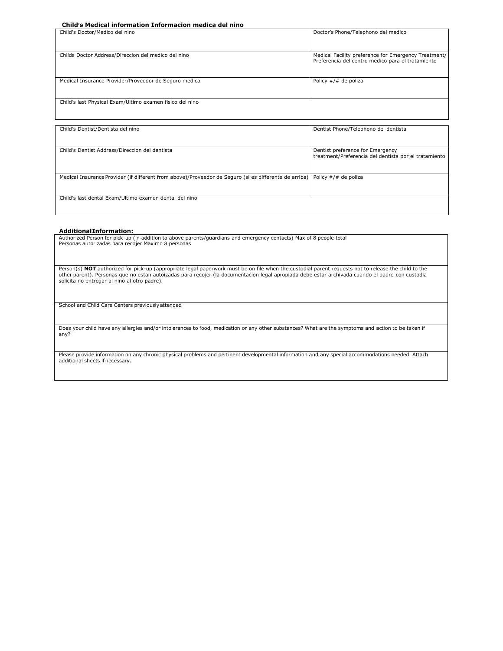#### **Child's Medical information Informacion medica del nino**

| Child's Doctor/Medico del nino                           | Doctor's Phone/Telephono del medico                                                                       |
|----------------------------------------------------------|-----------------------------------------------------------------------------------------------------------|
| Childs Doctor Address/Direccion del medico del nino      | Medical Facility preference for Emergency Treatment/<br>Preferencia del centro medico para el tratamiento |
| Medical Insurance Provider/Proveedor de Seguro medico    | Policy $\#/\#$ de poliza                                                                                  |
| Child's last Physical Exam/Ultimo examen fisico del nino |                                                                                                           |
|                                                          |                                                                                                           |

| Child's Dentist/Dentista del nino                                                                                          | Dentist Phone/Telephono del dentista                                                      |
|----------------------------------------------------------------------------------------------------------------------------|-------------------------------------------------------------------------------------------|
| Child's Dentist Address/Direccion del dentista                                                                             | Dentist preference for Emergency<br>treatment/Preferencia del dentista por el tratamiento |
| Medical Insurance Provider (if different from above)/Proveedor de Seguro (si es differente de arriba) Policy #/# de poliza |                                                                                           |
| Child's last dental Exam/Ultimo examen dental del nino                                                                     |                                                                                           |

#### **AdditionalInformation:**

Authorized Person for pick-up (in addition to above parents/guardians and emergency contacts) Max of 8 people total Personas autorizadas para recojer Maximo 8 personas

Person(s) NOT authorized for pick-up (appropriate legal paperwork must be on file when the custodial parent requests not to release the child to the other parent). Personas que no estan autoizadas para recojer (la documentacion legal apropiada debe estar archivada cuando el padre con custodia solicita no entregar al nino al otro padre).

School and Child Care Centers previouslyattended

Does your child have any allergies and/or intolerances to food, medication or any other substances? What are the symptoms and action to be taken if any?

Please provide information on any chronic physical problems and pertinent developmental information and any special accommodations needed. Attach additional sheets ifnecessary.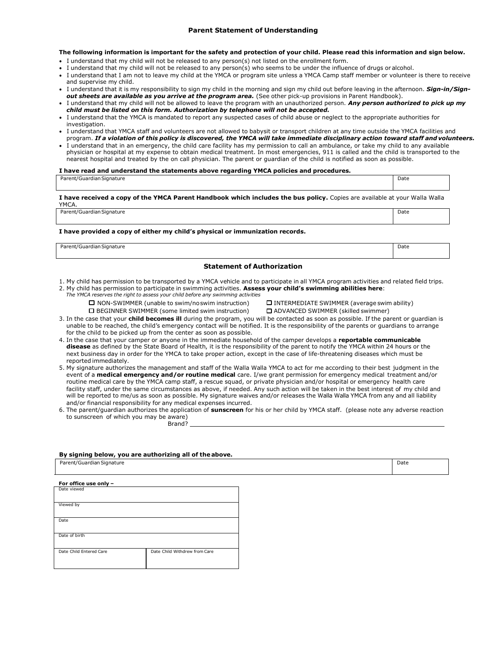#### **Parent Statement of Understanding**

#### **The following information is important for the safety and protection of your child. Please read this information and sign below.**

- I understand that my child will not be released to any person(s) not listed on the enrollment form.
- I understand that my child will not be released to any person(s) who seems to be under the influence of drugs or alcohol.
- I understand that I am not to leave my child at the YMCA or program site unless a YMCA Camp staff member or volunteer is there to receive and supervise my child.
- I understand that it is my responsibility to sign my child in the morning and sign my child out before leaving in the afternoon. *Sign-in/Signout sheets are available as you arrive at the program area.* (See other pick-up provisions in Parent Handbook).
- I understand that my child will not be allowed to leave the program with an unauthorized person. *Any person authorized to pick up my child must be listed on this form. Authorization by telephone will not be accepted.*
- I understand that the YMCA is mandated to report any suspected cases of child abuse or neglect to the appropriate authorities for investigation.
- I understand that YMCA staff and volunteers are not allowed to babysit or transport children at any time outside the YMCA facilities and program. *If a violation of this policy is discovered, the YMCA will take immediate disciplinary action toward staff and volunteers.*
- I understand that in an emergency, the child care facility has my permission to call an ambulance, or take my child to any available physician or hospital at my expense to obtain medical treatment. In most emergencies, 911 is called and the child is transported to the nearest hospital and treated by the on call physician. The parent or guardian of the child is notified as soon as possible.

#### **I have read and understand the statements above regarding YMCA policies and procedures.**

| Parent/Guardian Signature                                                                                                           | Date |
|-------------------------------------------------------------------------------------------------------------------------------------|------|
| I have received a copy of the YMCA Parent Handbook which includes the bus policy. Copies are available at your Walla Walla<br>YMCA. |      |
| Parent/Guardian Signature                                                                                                           | Date |
|                                                                                                                                     |      |

**I have provided a copy of either my child's physical or immunization records.**

Parent/Guardian Signature Date Date of the Date of the Date of the Date of the Date of the Date of the Date of the Date of the Date of the Date of the Date of the Date of the Date of the Date of the Date of the Date of the

#### **Statement of Authorization**

- 1. My child has permission to be transported by a YMCA vehicle and to participate in all YMCA program activities and related field trips.
- 2. My child has permission to participate in swimming activities. **Assess your child's swimming abilities here**:
	- *The YMCA reserves the right to assess your child before any swimming activities*
		- □ NON-SWIMMER (unable to swim/noswim instruction) □ INTERMEDIATE SWIMMER (average swim ability) □ BEGINNER SWIMMER (some limited swim instruction) □ ADVANCED SWIMMER (skilled swimmer)

- 
- 3. In the case that your **child becomes ill** during the program, you will be contacted as soon as possible. If the parent or guardian is unable to be reached, the child's emergency contact will be notified. It is the responsibility of the parents or guardians to arrange for the child to be picked up from the center as soon as possible.
- 4. In the case that your camper or anyone in the immediate household of the camper develops a **reportable communicable disease** as defined by the State Board of Health, it is the responsibility of the parent to notify the YMCA within 24 hours or the next business day in order for the YMCA to take proper action, except in the case of life-threatening diseases which must be reported immediately.
- 5. My signature authorizes the management and staff of the Walla Walla YMCA to act for me according to their best judgment in the event of a **medical emergency and/or routine medical** care. I/we grant permission for emergency medical treatment and/or routine medical care by the YMCA camp staff, a rescue squad, or private physician and/or hospital or emergency health care facility staff, under the same circumstances as above, if needed. Any such action will be taken in the best interest of my child and will be reported to me/us as soon as possible. My signature waives and/or releases the Walla Walla YMCA from any and all liability and/or financial responsibility for any medical expenses incurred.
- 6. The parent/guardian authorizes the application of **sunscreen** for his or her child by YMCA staff. (please note any adverse reaction to sunscreen of which you may be aware) Brand?

#### **By signing below, you are authorizing all of theabove.**

| Parent/Guardian Signature |                               |
|---------------------------|-------------------------------|
| For office use only -     |                               |
| Date viewed               |                               |
| Viewed by                 |                               |
| Date                      |                               |
| Date of birth             |                               |
| Date Child Entered Care   | Date Child Withdrew from Care |
|                           |                               |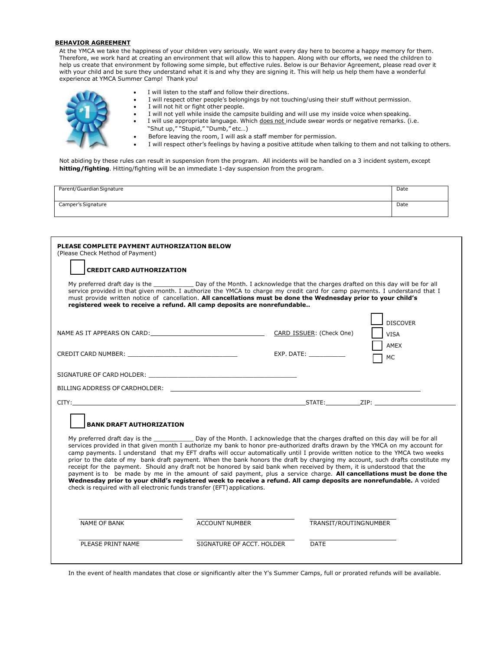#### **BEHAVIOR AGREEMENT**

At the YMCA we take the happiness of your children very seriously. We want every day here to become a happy memory for them. Therefore, we work hard at creating an environment that will allow this to happen. Along with our efforts, we need the children to help us create that environment by following some simple, but effective rules. Below is our Behavior Agreement, please read over it with your child and be sure they understand what it is and why they are signing it. This will help us help them have a wonderful experience at YMCA Summer Camp! Thank you!



Parent/Guardian Signature Date Date of the Contract of the Contract of the Contract of the Contract of the Date of the Date of the Contract of the Contract of the Contract of the Contract of the Contract of the Contract of Camper's Signature Date of the Camper's Signature Date of the Camper's Signature Date of the Camper's Signature

| PLEASE COMPLETE PAYMENT AUTHORIZATION BELOW<br>(Please Check Method of Payment)                                                                                                                                                |                           |                                                                                                                                                                                                                                                                                                                                                                                                                                                                                                                                                                                                                                                                                                                                                                                                                                                                                                      |
|--------------------------------------------------------------------------------------------------------------------------------------------------------------------------------------------------------------------------------|---------------------------|------------------------------------------------------------------------------------------------------------------------------------------------------------------------------------------------------------------------------------------------------------------------------------------------------------------------------------------------------------------------------------------------------------------------------------------------------------------------------------------------------------------------------------------------------------------------------------------------------------------------------------------------------------------------------------------------------------------------------------------------------------------------------------------------------------------------------------------------------------------------------------------------------|
| <b>CREDIT CARD AUTHORIZATION</b>                                                                                                                                                                                               |                           |                                                                                                                                                                                                                                                                                                                                                                                                                                                                                                                                                                                                                                                                                                                                                                                                                                                                                                      |
| registered week to receive a refund. All camp deposits are nonrefundable                                                                                                                                                       |                           | My preferred draft day is the ______________ Day of the Month. I acknowledge that the charges drafted on this day will be for all<br>service provided in that given month. I authorize the YMCA to charge my credit card for camp payments. I understand that I<br>must provide written notice of cancellation. All cancellations must be done the Wednesday prior to your child's                                                                                                                                                                                                                                                                                                                                                                                                                                                                                                                   |
|                                                                                                                                                                                                                                |                           | <b>DISCOVER</b>                                                                                                                                                                                                                                                                                                                                                                                                                                                                                                                                                                                                                                                                                                                                                                                                                                                                                      |
| NAME AS IT APPEARS ON CARD: WARD AND THE SAME AS IT APPEARS ON CARD:                                                                                                                                                           |                           | CARD ISSUER: (Check One)<br><b>VISA</b>                                                                                                                                                                                                                                                                                                                                                                                                                                                                                                                                                                                                                                                                                                                                                                                                                                                              |
|                                                                                                                                                                                                                                |                           | AMEX<br>EXP. DATE:<br>MC                                                                                                                                                                                                                                                                                                                                                                                                                                                                                                                                                                                                                                                                                                                                                                                                                                                                             |
|                                                                                                                                                                                                                                |                           |                                                                                                                                                                                                                                                                                                                                                                                                                                                                                                                                                                                                                                                                                                                                                                                                                                                                                                      |
| BILLING ADDRESS OF CARDHOLDER: We are also assessed to the contract of the contract of the contract of the contract of the contract of the contract of the contract of the contract of the contract of the contract of the con |                           |                                                                                                                                                                                                                                                                                                                                                                                                                                                                                                                                                                                                                                                                                                                                                                                                                                                                                                      |
|                                                                                                                                                                                                                                |                           |                                                                                                                                                                                                                                                                                                                                                                                                                                                                                                                                                                                                                                                                                                                                                                                                                                                                                                      |
| <b>BANK DRAFT AUTHORIZATION</b>                                                                                                                                                                                                |                           |                                                                                                                                                                                                                                                                                                                                                                                                                                                                                                                                                                                                                                                                                                                                                                                                                                                                                                      |
| check is required with all electronic funds transfer (EFT) applications.                                                                                                                                                       |                           | My preferred draft day is the same same bay of the Month. I acknowledge that the charges drafted on this day will be for all<br>services provided in that given month I authorize my bank to honor pre-authorized drafts drawn by the YMCA on my account for<br>camp payments. I understand that my EFT drafts will occur automatically until I provide written notice to the YMCA two weeks<br>prior to the date of my bank draft payment. When the bank honors the draft by charging my account, such drafts constitute my<br>receipt for the payment. Should any draft not be honored by said bank when received by them, it is understood that the<br>payment is to be made by me in the amount of said payment, plus a service charge. All cancellations must be done the<br>Wednesday prior to your child's registered week to receive a refund. All camp deposits are nonrefundable. A voided |
| <b>NAME OF BANK</b>                                                                                                                                                                                                            | <b>ACCOUNT NUMBER</b>     | TRANSIT/ROUTINGNUMBER                                                                                                                                                                                                                                                                                                                                                                                                                                                                                                                                                                                                                                                                                                                                                                                                                                                                                |
| PLEASE PRINT NAME                                                                                                                                                                                                              | SIGNATURE OF ACCT, HOLDER | <b>DATE</b>                                                                                                                                                                                                                                                                                                                                                                                                                                                                                                                                                                                                                                                                                                                                                                                                                                                                                          |

In the event of health mandates that close or significantly alter the Y's Summer Camps, full or prorated refunds will be available.